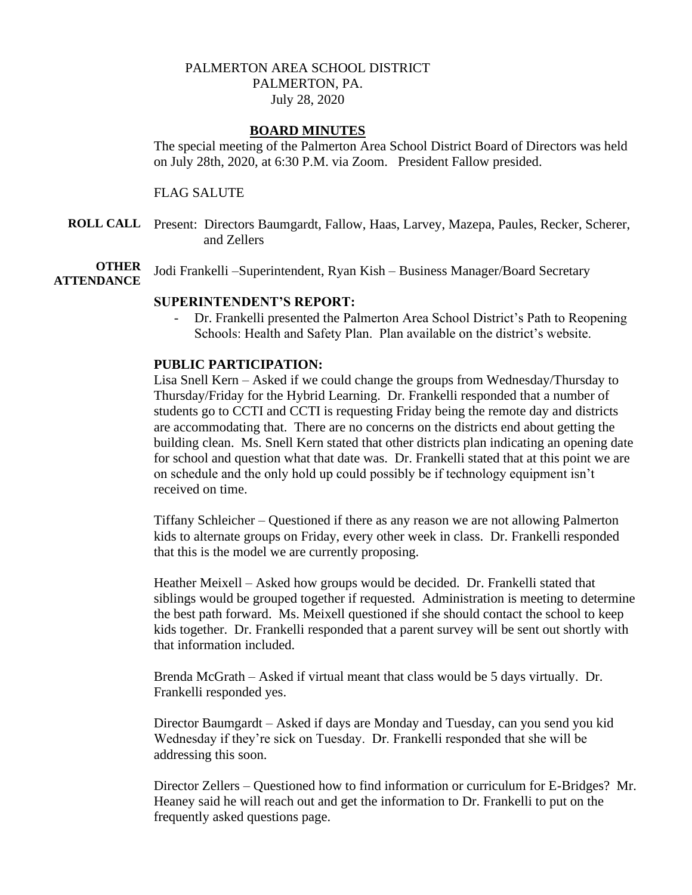## PALMERTON AREA SCHOOL DISTRICT PALMERTON, PA. July 28, 2020

### **BOARD MINUTES**

The special meeting of the Palmerton Area School District Board of Directors was held on July 28th, 2020, at 6:30 P.M. via Zoom. President Fallow presided.

### FLAG SALUTE

**ROLL CALL** Present: Directors Baumgardt, Fallow, Haas, Larvey, Mazepa, Paules, Recker, Scherer, and Zellers

**OTHER** Jodi Frankelli –Superintendent, Ryan Kish – Business Manager/Board Secretary

# **ATTENDANCE**

### **SUPERINTENDENT'S REPORT:**

- Dr. Frankelli presented the Palmerton Area School District's Path to Reopening Schools: Health and Safety Plan. Plan available on the district's website.

#### **PUBLIC PARTICIPATION:**

Lisa Snell Kern – Asked if we could change the groups from Wednesday/Thursday to Thursday/Friday for the Hybrid Learning. Dr. Frankelli responded that a number of students go to CCTI and CCTI is requesting Friday being the remote day and districts are accommodating that. There are no concerns on the districts end about getting the building clean. Ms. Snell Kern stated that other districts plan indicating an opening date for school and question what that date was. Dr. Frankelli stated that at this point we are on schedule and the only hold up could possibly be if technology equipment isn't received on time.

Tiffany Schleicher – Questioned if there as any reason we are not allowing Palmerton kids to alternate groups on Friday, every other week in class. Dr. Frankelli responded that this is the model we are currently proposing.

Heather Meixell – Asked how groups would be decided. Dr. Frankelli stated that siblings would be grouped together if requested. Administration is meeting to determine the best path forward. Ms. Meixell questioned if she should contact the school to keep kids together. Dr. Frankelli responded that a parent survey will be sent out shortly with that information included.

Brenda McGrath – Asked if virtual meant that class would be 5 days virtually. Dr. Frankelli responded yes.

Director Baumgardt – Asked if days are Monday and Tuesday, can you send you kid Wednesday if they're sick on Tuesday. Dr. Frankelli responded that she will be addressing this soon.

Director Zellers – Questioned how to find information or curriculum for E-Bridges? Mr. Heaney said he will reach out and get the information to Dr. Frankelli to put on the frequently asked questions page.